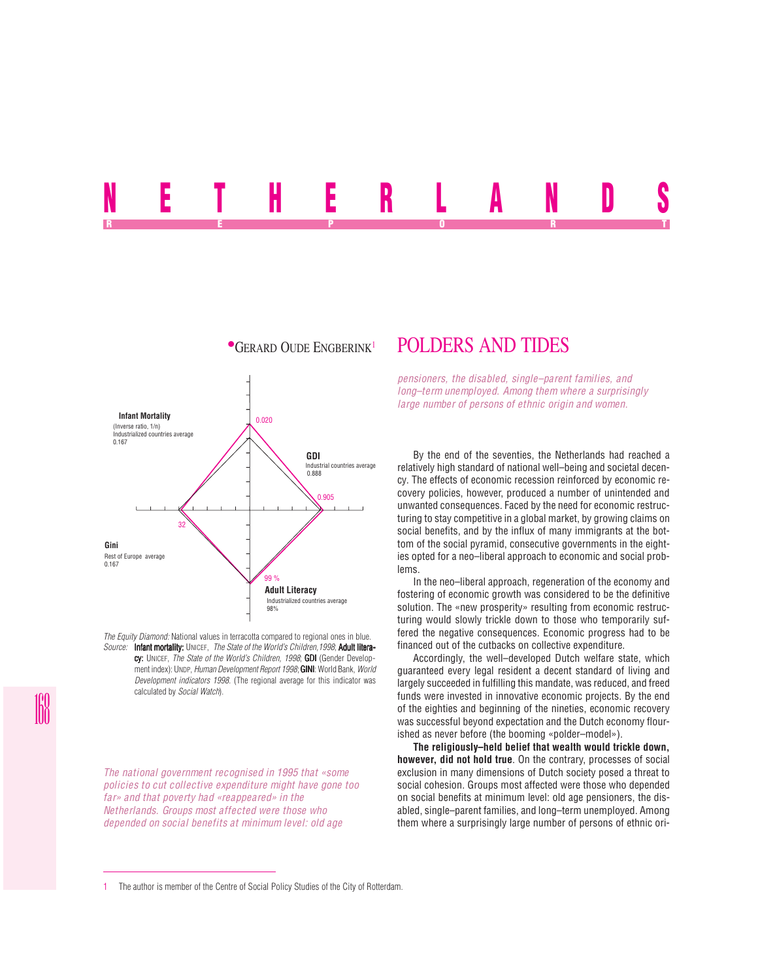# NETHERLANDS REPORT OF STATE REPORT OF STATE REPORT OF STATE REPORT OF STATE REPORT OF STATE REPORT OF STATE REPORT OF STATE REPORT OF STATE REPORT OF STATE REPORT OF STATE REPORT OF STATE REPORT OF STATE REPORT OF STATE REPORT OF STAT



*The Equity Diamond:* National values in terracotta compared to regional ones in blue. *Source:* Infant mortality: UNICEF, *The State of the World's Children,1998*; Adult litera-

cy: UNICEF, *The State of the World's Children, 1998*; GDI (Gender Development index): UNDP, *Human Development Report 1998*; **GINI**: World Bank, *World Development indicators 1998*. (The regional average for this indicator was calculated by *Social Watch*).

*The national government recognised in 1995 that «some policies to cut collective expenditure might have gone too far» and that poverty had «reappeared» in the Netherlands. Groups most affected were those who depended on social benefits at minimum level: old age*

# **•GERARD OUDE ENGBERINK<sup>1</sup> POLDERS AND TIDES**

*pensioners, the disabled, single–parent families, and long–term unemployed. Among them where a surprisingly large number of persons of ethnic origin and women.*

By the end of the seventies, the Netherlands had reached a relatively high standard of national well–being and societal decency. The effects of economic recession reinforced by economic recovery policies, however, produced a number of unintended and unwanted consequences. Faced by the need for economic restructuring to stay competitive in a global market, by growing claims on social benefits, and by the influx of many immigrants at the bottom of the social pyramid, consecutive governments in the eighties opted for a neo–liberal approach to economic and social problems.

In the neo–liberal approach, regeneration of the economy and fostering of economic growth was considered to be the definitive solution. The «new prosperity» resulting from economic restructuring would slowly trickle down to those who temporarily suffered the negative consequences. Economic progress had to be financed out of the cutbacks on collective expenditure.

Accordingly, the well–developed Dutch welfare state, which guaranteed every legal resident a decent standard of living and largely succeeded in fulfilling this mandate, was reduced, and freed funds were invested in innovative economic projects. By the end of the eighties and beginning of the nineties, economic recovery was successful beyond expectation and the Dutch economy flourished as never before (the booming «polder–model»).

**The religiously–held belief that wealth would trickle down, however, did not hold true**. On the contrary, processes of social exclusion in many dimensions of Dutch society posed a threat to social cohesion. Groups most affected were those who depended on social benefits at minimum level: old age pensioners, the disabled, single–parent families, and long–term unemployed. Among them where a surprisingly large number of persons of ethnic ori-

<sup>1</sup> The author is member of the Centre of Social Policy Studies of the City of Rotterdam.